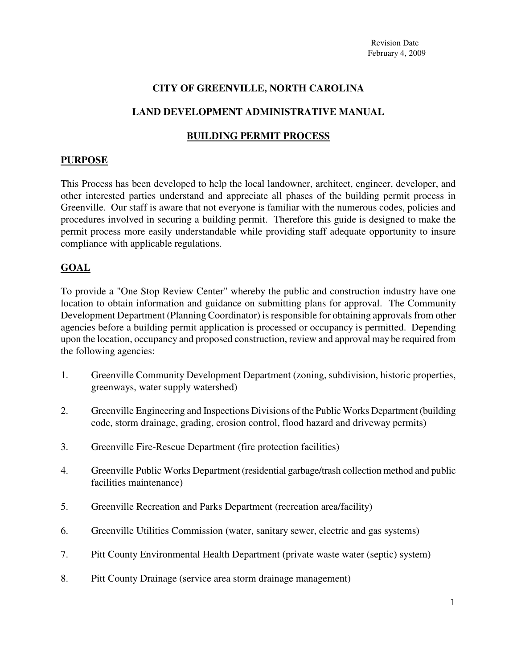### **CITY OF GREENVILLE, NORTH CAROLINA**

### **LAND DEVELOPMENT ADMINISTRATIVE MANUAL**

#### **BUILDING PERMIT PROCESS**

#### **PURPOSE**

This Process has been developed to help the local landowner, architect, engineer, developer, and other interested parties understand and appreciate all phases of the building permit process in Greenville. Our staff is aware that not everyone is familiar with the numerous codes, policies and procedures involved in securing a building permit. Therefore this guide is designed to make the permit process more easily understandable while providing staff adequate opportunity to insure compliance with applicable regulations.

### **GOAL**

To provide a "One Stop Review Center" whereby the public and construction industry have one location to obtain information and guidance on submitting plans for approval. The Community Development Department (Planning Coordinator) is responsible for obtaining approvals from other agencies before a building permit application is processed or occupancy is permitted. Depending upon the location, occupancy and proposed construction, review and approval may be required from the following agencies:

- 1. Greenville Community Development Department (zoning, subdivision, historic properties, greenways, water supply watershed)
- 2. Greenville Engineering and Inspections Divisions of the Public Works Department (building code, storm drainage, grading, erosion control, flood hazard and driveway permits)
- 3. Greenville Fire-Rescue Department (fire protection facilities)
- 4. Greenville Public Works Department (residential garbage/trash collection method and public facilities maintenance)
- 5. Greenville Recreation and Parks Department (recreation area/facility)
- 6. Greenville Utilities Commission (water, sanitary sewer, electric and gas systems)
- 7. Pitt County Environmental Health Department (private waste water (septic) system)
- 8. Pitt County Drainage (service area storm drainage management)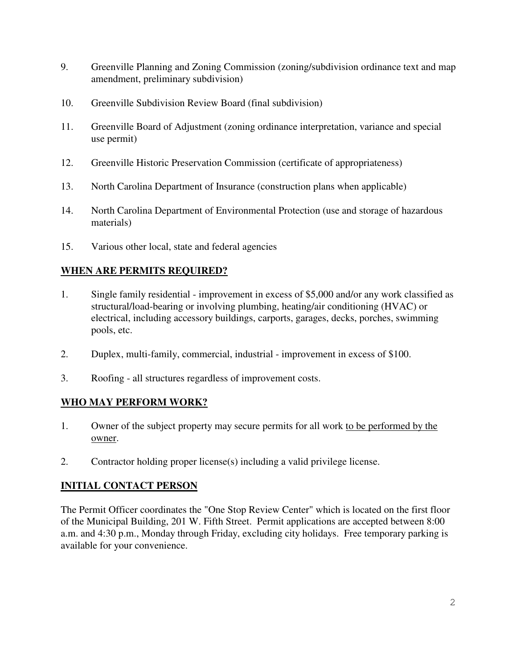- 9. Greenville Planning and Zoning Commission (zoning/subdivision ordinance text and map amendment, preliminary subdivision)
- 10. Greenville Subdivision Review Board (final subdivision)
- 11. Greenville Board of Adjustment (zoning ordinance interpretation, variance and special use permit)
- 12. Greenville Historic Preservation Commission (certificate of appropriateness)
- 13. North Carolina Department of Insurance (construction plans when applicable)
- 14. North Carolina Department of Environmental Protection (use and storage of hazardous materials)
- 15. Various other local, state and federal agencies

# **WHEN ARE PERMITS REQUIRED?**

- 1. Single family residential improvement in excess of \$5,000 and/or any work classified as structural/load-bearing or involving plumbing, heating/air conditioning (HVAC) or electrical, including accessory buildings, carports, garages, decks, porches, swimming pools, etc.
- 2. Duplex, multi-family, commercial, industrial improvement in excess of \$100.
- 3. Roofing all structures regardless of improvement costs.

# **WHO MAY PERFORM WORK?**

- 1. Owner of the subject property may secure permits for all work to be performed by the owner.
- 2. Contractor holding proper license(s) including a valid privilege license.

# **INITIAL CONTACT PERSON**

The Permit Officer coordinates the "One Stop Review Center" which is located on the first floor of the Municipal Building, 201 W. Fifth Street. Permit applications are accepted between 8:00 a.m. and 4:30 p.m., Monday through Friday, excluding city holidays. Free temporary parking is available for your convenience.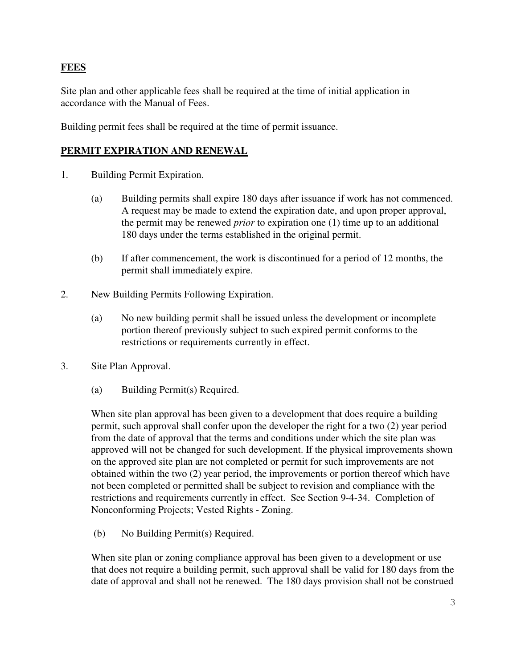# **FEES**

Site plan and other applicable fees shall be required at the time of initial application in accordance with the Manual of Fees.

Building permit fees shall be required at the time of permit issuance.

### **PERMIT EXPIRATION AND RENEWAL**

- 1. Building Permit Expiration.
	- (a) Building permits shall expire 180 days after issuance if work has not commenced. A request may be made to extend the expiration date, and upon proper approval, the permit may be renewed *prior* to expiration one (1) time up to an additional 180 days under the terms established in the original permit.
	- (b) If after commencement, the work is discontinued for a period of 12 months, the permit shall immediately expire.
- 2. New Building Permits Following Expiration.
	- (a) No new building permit shall be issued unless the development or incomplete portion thereof previously subject to such expired permit conforms to the restrictions or requirements currently in effect.
- 3. Site Plan Approval.
	- (a) Building Permit(s) Required.

When site plan approval has been given to a development that does require a building permit, such approval shall confer upon the developer the right for a two (2) year period from the date of approval that the terms and conditions under which the site plan was approved will not be changed for such development. If the physical improvements shown on the approved site plan are not completed or permit for such improvements are not obtained within the two (2) year period, the improvements or portion thereof which have not been completed or permitted shall be subject to revision and compliance with the restrictions and requirements currently in effect. See Section 9-4-34. Completion of Nonconforming Projects; Vested Rights - Zoning.

(b) No Building Permit(s) Required.

When site plan or zoning compliance approval has been given to a development or use that does not require a building permit, such approval shall be valid for 180 days from the date of approval and shall not be renewed. The 180 days provision shall not be construed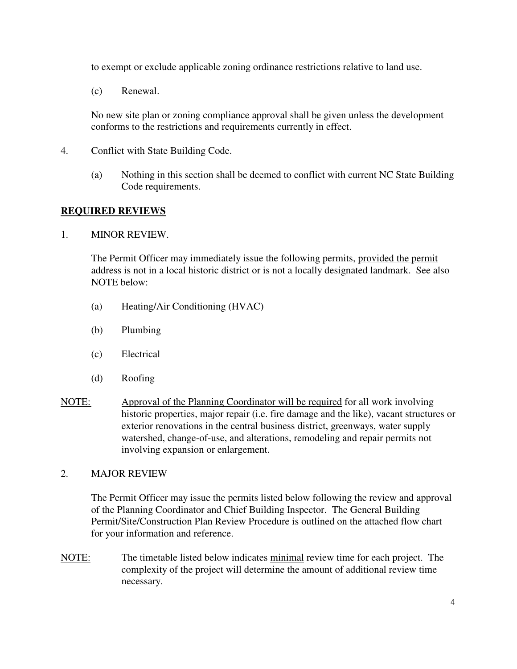to exempt or exclude applicable zoning ordinance restrictions relative to land use.

(c) Renewal.

No new site plan or zoning compliance approval shall be given unless the development conforms to the restrictions and requirements currently in effect.

- 4. Conflict with State Building Code.
	- (a) Nothing in this section shall be deemed to conflict with current NC State Building Code requirements.

#### **REQUIRED REVIEWS**

#### 1. MINOR REVIEW.

The Permit Officer may immediately issue the following permits, provided the permit address is not in a local historic district or is not a locally designated landmark. See also NOTE below:

- (a) Heating/Air Conditioning (HVAC)
- (b) Plumbing
- (c) Electrical
- (d) Roofing
- NOTE: Approval of the Planning Coordinator will be required for all work involving historic properties, major repair (i.e. fire damage and the like), vacant structures or exterior renovations in the central business district, greenways, water supply watershed, change-of-use, and alterations, remodeling and repair permits not involving expansion or enlargement.

### 2. MAJOR REVIEW

The Permit Officer may issue the permits listed below following the review and approval of the Planning Coordinator and Chief Building Inspector. The General Building Permit/Site/Construction Plan Review Procedure is outlined on the attached flow chart for your information and reference.

NOTE: The timetable listed below indicates minimal review time for each project. The complexity of the project will determine the amount of additional review time necessary.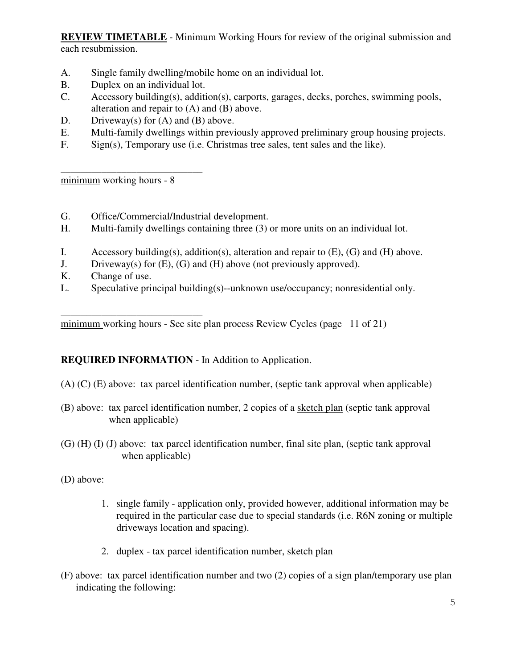**REVIEW TIMETABLE** - Minimum Working Hours for review of the original submission and each resubmission.

- A. Single family dwelling/mobile home on an individual lot.
- B. Duplex on an individual lot.
- C. Accessory building(s), addition(s), carports, garages, decks, porches, swimming pools, alteration and repair to (A) and (B) above.
- D. Driveway(s) for  $(A)$  and  $(B)$  above.
- E. Multi-family dwellings within previously approved preliminary group housing projects.
- F. Sign(s), Temporary use (i.e. Christmas tree sales, tent sales and the like).

minimum working hours - 8

\_\_\_\_\_\_\_\_\_\_\_\_\_\_\_\_\_\_\_\_\_\_\_\_\_\_\_\_

- G. Office/Commercial/Industrial development.
- H. Multi-family dwellings containing three (3) or more units on an individual lot.
- I. Accessory building(s), addition(s), alteration and repair to  $(E)$ ,  $(G)$  and  $(H)$  above.
- J. Driveway(s) for (E), (G) and (H) above (not previously approved).
- K. Change of use.
- L. Speculative principal building(s)--unknown use/occupancy; nonresidential only.

\_\_\_\_\_\_\_\_\_\_\_\_\_\_\_\_\_\_\_\_\_\_\_\_\_\_\_\_ minimum working hours - See site plan process Review Cycles (page 11 of 21)

### **REQUIRED INFORMATION** - In Addition to Application.

- (A) (C) (E) above: tax parcel identification number, (septic tank approval when applicable)
- (B) above: tax parcel identification number, 2 copies of a sketch plan (septic tank approval when applicable)
- (G) (H) (I) (J) above: tax parcel identification number, final site plan, (septic tank approval when applicable)
- (D) above:
	- 1. single family application only, provided however, additional information may be required in the particular case due to special standards (i.e. R6N zoning or multiple driveways location and spacing).
	- 2. duplex tax parcel identification number, sketch plan
- (F) above: tax parcel identification number and two (2) copies of a sign plan/temporary use plan indicating the following: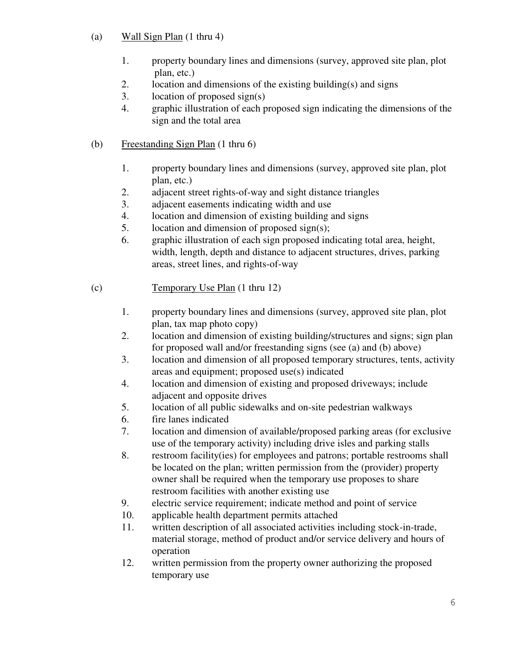- (a) Wall Sign Plan (1 thru 4)
	- 1. property boundary lines and dimensions (survey, approved site plan, plot plan, etc.)
	- 2. location and dimensions of the existing building(s) and signs
	- 3. location of proposed sign(s)
	- 4. graphic illustration of each proposed sign indicating the dimensions of the sign and the total area
- (b) Freestanding Sign Plan (1 thru 6)
	- 1. property boundary lines and dimensions (survey, approved site plan, plot plan, etc.)
	- 2. adjacent street rights-of-way and sight distance triangles
	- 3. adjacent easements indicating width and use
	- 4. location and dimension of existing building and signs
	- 5. location and dimension of proposed sign(s);
	- 6. graphic illustration of each sign proposed indicating total area, height, width, length, depth and distance to adjacent structures, drives, parking areas, street lines, and rights-of-way
- (c) Temporary Use Plan (1 thru 12)
	- 1. property boundary lines and dimensions (survey, approved site plan, plot plan, tax map photo copy)
	- 2. location and dimension of existing building/structures and signs; sign plan for proposed wall and/or freestanding signs (see (a) and (b) above)
	- 3. location and dimension of all proposed temporary structures, tents, activity areas and equipment; proposed use(s) indicated
	- 4. location and dimension of existing and proposed driveways; include adjacent and opposite drives
	- 5. location of all public sidewalks and on-site pedestrian walkways
	- 6. fire lanes indicated
	- 7. location and dimension of available/proposed parking areas (for exclusive use of the temporary activity) including drive isles and parking stalls
	- 8. restroom facility(ies) for employees and patrons; portable restrooms shall be located on the plan; written permission from the (provider) property owner shall be required when the temporary use proposes to share restroom facilities with another existing use
	- 9. electric service requirement; indicate method and point of service
	- 10. applicable health department permits attached
	- 11. written description of all associated activities including stock-in-trade, material storage, method of product and/or service delivery and hours of operation
	- 12. written permission from the property owner authorizing the proposed temporary use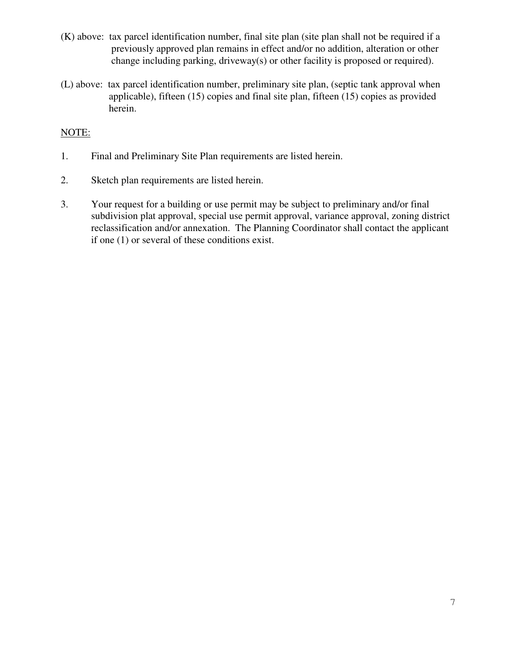- (K) above: tax parcel identification number, final site plan (site plan shall not be required if a previously approved plan remains in effect and/or no addition, alteration or other change including parking, driveway(s) or other facility is proposed or required).
- (L) above: tax parcel identification number, preliminary site plan, (septic tank approval when applicable), fifteen (15) copies and final site plan, fifteen (15) copies as provided herein.

### NOTE:

- 1. Final and Preliminary Site Plan requirements are listed herein.
- 2. Sketch plan requirements are listed herein.
- 3. Your request for a building or use permit may be subject to preliminary and/or final subdivision plat approval, special use permit approval, variance approval, zoning district reclassification and/or annexation. The Planning Coordinator shall contact the applicant if one (1) or several of these conditions exist.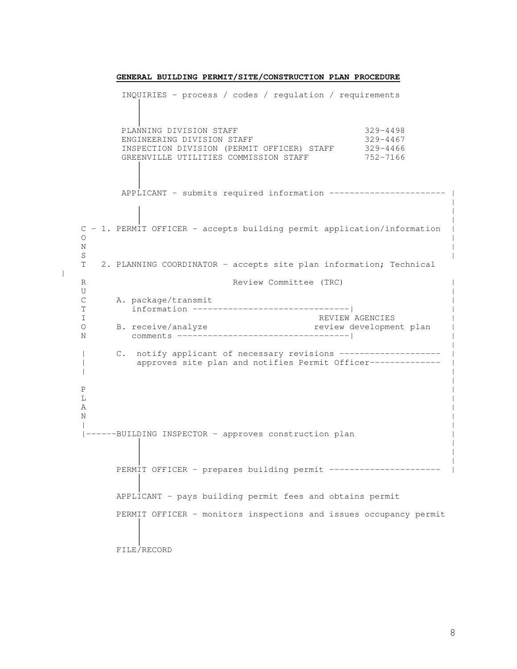INQUIRIES - process / codes / regulation / requirements  $\overline{a}$  $\overline{\phantom{a}}$  $\overline{1}$ PLANNING DIVISION STAFF 329-4498 ENGINEERING DIVISION STAFF 329-4467 INSPECTION DIVISION (PERMIT OFFICER) STAFF 329-4466 GREENVILLE UTILITIES COMMISSION STAFF 752-7166  $\overline{\phantom{a}}$  $\overline{1}$  $\overline{1}$ APPLICANT - submits required information ------------------------ | | C - 1. PERMIT OFFICER - accepts building permit application/information |  $\circ$   $\qquad$  $N$  $S$   $|$ T 2. PLANNING COORDINATOR - accepts site plan information; Technical R Review Committee (TRC) U and the contract of the contract of the contract of the contract of the contract of the contract of the contract of the contract of the contract of the contract of the contract of the contract of the contract of the con C A. package/transmit T information -------------------------------| | I<br>
D
B. receive/analyze<br>
D
B. receive/analyze<br>
D
B O B. receive/analyze review development plan | N comments ----------------------------------| | | C. notify applicant of necessary revisions --------------------| approves site plan and notifies Permit Officer--------------| |  $P$   $|$  $\mathbf{L}$  $\mathbf A$  $N$ | | |------BUILDING INSPECTOR - approves construction plan | | | | PERMIT OFFICER - prepares building permit ---------------------- |  $\overline{\phantom{a}}$  $\overline{\phantom{a}}$ APPLICANT - pays building permit fees and obtains permit PERMIT OFFICER - monitors inspections and issues occupancy permit  $\overline{1}$  $\overline{\phantom{a}}$  $\overline{\phantom{a}}$ FILE/RECORD

 $\vert$ 

**GENERAL BUILDING PERMIT/SITE/CONSTRUCTION PLAN PROCEDURE**

 $\vert$ 

 $\vert$ 

 $\vert$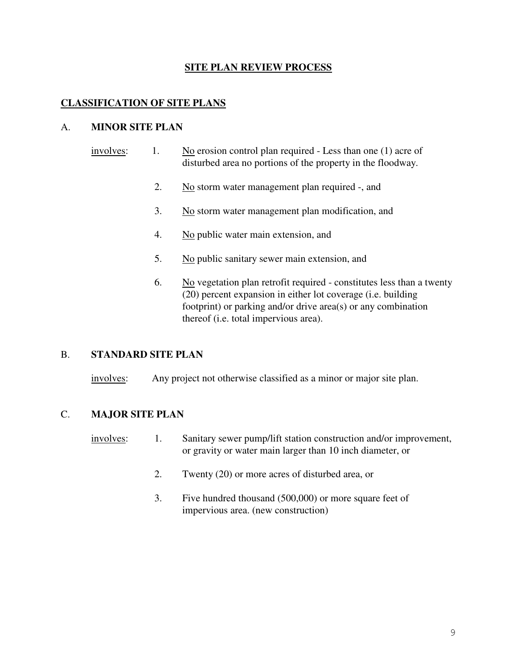#### **SITE PLAN REVIEW PROCESS**

#### **CLASSIFICATION OF SITE PLANS**

#### A. **MINOR SITE PLAN**

- involves: 1. No erosion control plan required Less than one (1) acre of disturbed area no portions of the property in the floodway.
	- 2. No storm water management plan required -, and
	- 3. No storm water management plan modification, and
	- 4. No public water main extension, and
	- 5. No public sanitary sewer main extension, and
	- 6. No vegetation plan retrofit required constitutes less than a twenty (20) percent expansion in either lot coverage (i.e. building footprint) or parking and/or drive area(s) or any combination thereof (i.e. total impervious area).

#### B. **STANDARD SITE PLAN**

involves: Any project not otherwise classified as a minor or major site plan.

#### C. **MAJOR SITE PLAN**

- involves: 1. Sanitary sewer pump/lift station construction and/or improvement, or gravity or water main larger than 10 inch diameter, or
	- 2. Twenty (20) or more acres of disturbed area, or
	- 3. Five hundred thousand (500,000) or more square feet of impervious area. (new construction)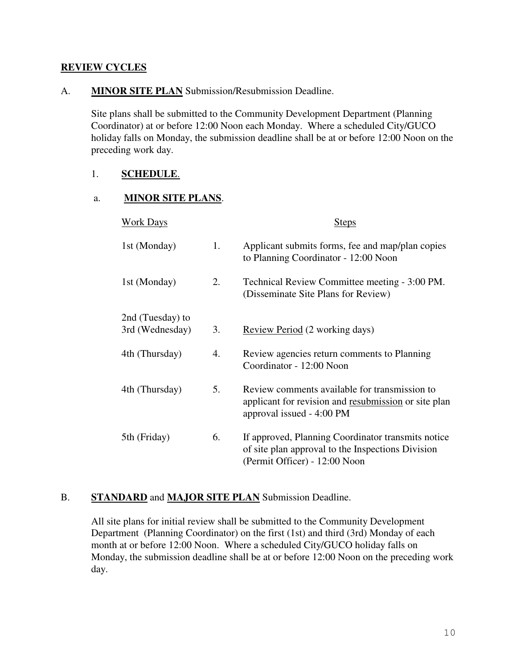#### **REVIEW CYCLES**

#### A. **MINOR SITE PLAN** Submission/Resubmission Deadline.

Site plans shall be submitted to the Community Development Department (Planning Coordinator) at or before 12:00 Noon each Monday. Where a scheduled City/GUCO holiday falls on Monday, the submission deadline shall be at or before 12:00 Noon on the preceding work day.

### 1. **SCHEDULE**.

#### a. **MINOR SITE PLANS**.

| <b>Work Days</b> |    | <b>Steps</b>                                                                                                                             |
|------------------|----|------------------------------------------------------------------------------------------------------------------------------------------|
| 1st (Monday)     | 1. | Applicant submits forms, fee and map/plan copies<br>to Planning Coordinator - 12:00 Noon                                                 |
| 1st (Monday)     | 2. | Technical Review Committee meeting - 3:00 PM.<br>(Disseminate Site Plans for Review)                                                     |
| 2nd (Tuesday) to |    |                                                                                                                                          |
| 3rd (Wednesday)  | 3. | Review Period (2 working days)                                                                                                           |
| 4th (Thursday)   | 4. | Review agencies return comments to Planning<br>Coordinator - 12:00 Noon                                                                  |
| 4th (Thursday)   | 5. | Review comments available for transmission to<br>applicant for revision and resubmission or site plan<br>approval issued - 4:00 PM       |
| 5th (Friday)     | 6. | If approved, Planning Coordinator transmits notice<br>of site plan approval to the Inspections Division<br>(Permit Officer) - 12:00 Noon |

### B. **STANDARD** and **MAJOR SITE PLAN** Submission Deadline.

All site plans for initial review shall be submitted to the Community Development Department (Planning Coordinator) on the first (1st) and third (3rd) Monday of each month at or before 12:00 Noon. Where a scheduled City/GUCO holiday falls on Monday, the submission deadline shall be at or before 12:00 Noon on the preceding work day.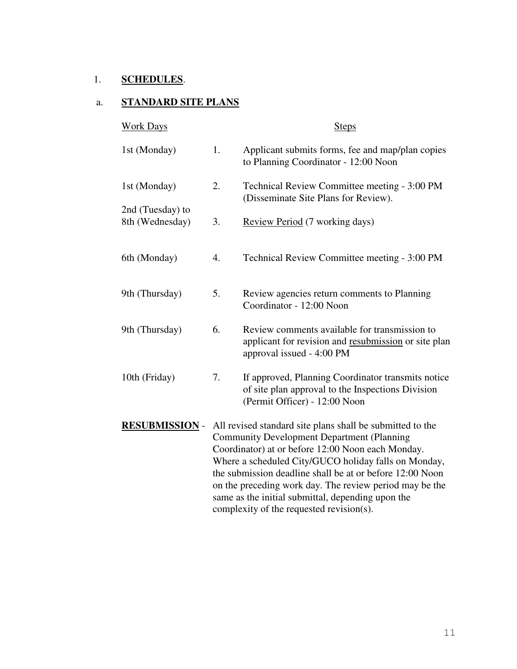## 1. **SCHEDULES**.

# a. **STANDARD SITE PLANS**

| <b>Work Days</b>                    |                                                                                                                                                                                                                                                                                                                                                                                                                                                     | <b>Steps</b>                                                                                                                             |
|-------------------------------------|-----------------------------------------------------------------------------------------------------------------------------------------------------------------------------------------------------------------------------------------------------------------------------------------------------------------------------------------------------------------------------------------------------------------------------------------------------|------------------------------------------------------------------------------------------------------------------------------------------|
| 1st (Monday)                        | 1.                                                                                                                                                                                                                                                                                                                                                                                                                                                  | Applicant submits forms, fee and map/plan copies<br>to Planning Coordinator - 12:00 Noon                                                 |
| 1st (Monday)                        | 2.                                                                                                                                                                                                                                                                                                                                                                                                                                                  | Technical Review Committee meeting - 3:00 PM<br>(Disseminate Site Plans for Review).                                                     |
| 2nd (Tuesday) to<br>8th (Wednesday) | 3.                                                                                                                                                                                                                                                                                                                                                                                                                                                  | Review Period (7 working days)                                                                                                           |
| 6th (Monday)                        | 4.                                                                                                                                                                                                                                                                                                                                                                                                                                                  | Technical Review Committee meeting - 3:00 PM                                                                                             |
| 9th (Thursday)                      | 5.                                                                                                                                                                                                                                                                                                                                                                                                                                                  | Review agencies return comments to Planning<br>Coordinator - 12:00 Noon                                                                  |
| 9th (Thursday)                      | 6.                                                                                                                                                                                                                                                                                                                                                                                                                                                  | Review comments available for transmission to<br>applicant for revision and resubmission or site plan<br>approval issued - 4:00 PM       |
| 10th (Friday)                       | 7.                                                                                                                                                                                                                                                                                                                                                                                                                                                  | If approved, Planning Coordinator transmits notice<br>of site plan approval to the Inspections Division<br>(Permit Officer) - 12:00 Noon |
| <b>RESUBMISSION -</b>               | All revised standard site plans shall be submitted to the<br><b>Community Development Department (Planning</b><br>Coordinator) at or before 12:00 Noon each Monday.<br>Where a scheduled City/GUCO holiday falls on Monday,<br>the submission deadline shall be at or before 12:00 Noon<br>on the preceding work day. The review period may be the<br>same as the initial submittal, depending upon the<br>complexity of the requested revision(s). |                                                                                                                                          |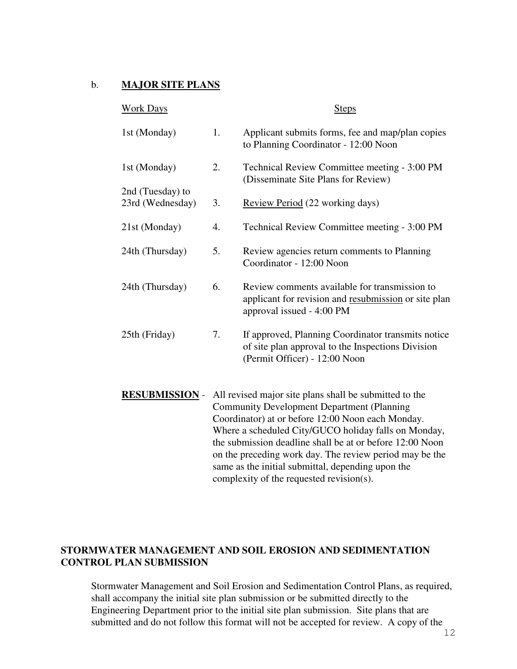#### b. **MAJOR SITE PLANS**

| <b>Work Days</b>                     |    | <b>Steps</b>                                                                                                                             |
|--------------------------------------|----|------------------------------------------------------------------------------------------------------------------------------------------|
| 1st (Monday)                         | 1. | Applicant submits forms, fee and map/plan copies<br>to Planning Coordinator - 12:00 Noon                                                 |
| 1st (Monday)                         | 2. | Technical Review Committee meeting - 3:00 PM<br>(Disseminate Site Plans for Review)                                                      |
| 2nd (Tuesday) to<br>23rd (Wednesday) | 3. | Review Period (22 working days)                                                                                                          |
| 21st (Monday)                        | 4. | Technical Review Committee meeting - 3:00 PM                                                                                             |
| 24th (Thursday)                      | 5. | Review agencies return comments to Planning<br>Coordinator - 12:00 Noon                                                                  |
| 24th (Thursday)                      | 6. | Review comments available for transmission to<br>applicant for revision and resubmission or site plan<br>approval issued - 4:00 PM       |
| 25th (Friday)                        | 7. | If approved, Planning Coordinator transmits notice<br>of site plan approval to the Inspections Division<br>(Permit Officer) - 12:00 Noon |
| <b>RESUBMISSION -</b>                |    | All revised major site plans shall be submitted to the<br>Community Development Department (Planning                                     |

Community Development Department (Planning Coordinator) at or before 12:00 Noon each Monday. Where a scheduled City/GUCO holiday falls on Monday, the submission deadline shall be at or before 12:00 Noon on the preceding work day. The review period may be the same as the initial submittal, depending upon the complexity of the requested revision(s).

### **STORMWATER MANAGEMENT AND SOIL EROSION AND SEDIMENTATION CONTROL PLAN SUBMISSION**

Stormwater Management and Soil Erosion and Sedimentation Control Plans, as required, shall accompany the initial site plan submission or be submitted directly to the Engineering Department prior to the initial site plan submission. Site plans that are submitted and do not follow this format will not be accepted for review. A copy of the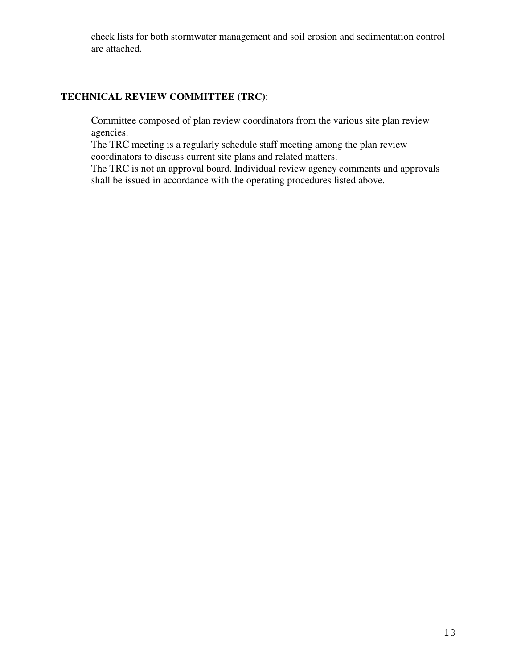check lists for both stormwater management and soil erosion and sedimentation control are attached.

# **TECHNICAL REVIEW COMMITTEE (TRC)**:

Committee composed of plan review coordinators from the various site plan review agencies.

The TRC meeting is a regularly schedule staff meeting among the plan review coordinators to discuss current site plans and related matters.

The TRC is not an approval board. Individual review agency comments and approvals shall be issued in accordance with the operating procedures listed above.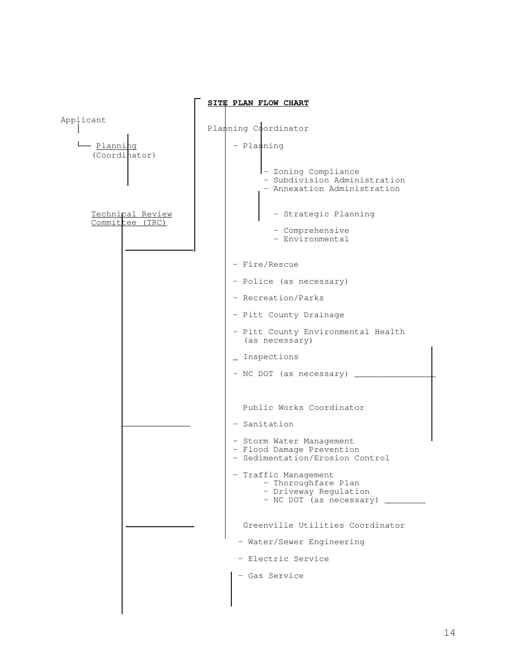|                                     | SITE PLAN FLOW CHART                                                                          |
|-------------------------------------|-----------------------------------------------------------------------------------------------|
| Applicant                           | Planning Coordinator                                                                          |
| - <u>Planning</u><br>(Coordinator)  | - Planning                                                                                    |
|                                     | - Zoning Compliance<br>- Subdivision Administration<br>- Annexation Administration            |
| Technical Review<br>Committee (TRC) | - Strategic Planning                                                                          |
|                                     | - Comprehensive<br>- Environmental                                                            |
|                                     | - Fire/Rescue                                                                                 |
|                                     | - Police (as necessary)                                                                       |
|                                     | - Recreation/Parks                                                                            |
|                                     | - Pitt County Drainage                                                                        |
|                                     | - Pitt County Environmental Health<br>(as necessary)                                          |
|                                     | _ Inspections                                                                                 |
|                                     | - NC DOT (as necessary)                                                                       |
|                                     |                                                                                               |
|                                     | Public Works Coordinator                                                                      |
|                                     | - Sanitation                                                                                  |
|                                     | - Storm Water Management<br>- Flood Damage Prevention<br>- Sedimentation/Erosion Control      |
|                                     | Traffic Management<br>- Thoroughfare Plan<br>- Driveway Regulation<br>- NC DOT (as necessary) |
|                                     | Greenville Utilities Coordinator                                                              |
|                                     | - Water/Sewer Engineering                                                                     |
|                                     | - Electric Service                                                                            |
|                                     | - Gas Service                                                                                 |
|                                     |                                                                                               |
|                                     |                                                                                               |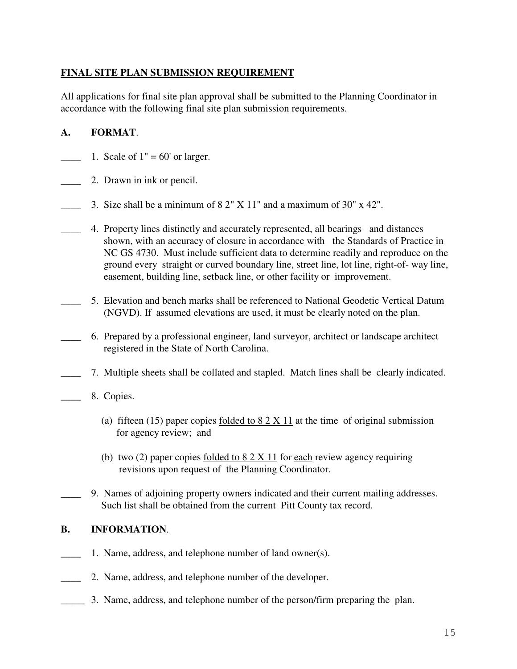# **FINAL SITE PLAN SUBMISSION REQUIREMENT**

All applications for final site plan approval shall be submitted to the Planning Coordinator in accordance with the following final site plan submission requirements.

# **A. FORMAT**.

- 1. Scale of  $1" = 60'$  or larger.
- **2.** Drawn in ink or pencil.
	- 3. Size shall be a minimum of  $8 \frac{2}{1}$  X  $11$ " and a maximum of  $30$ " x  $42$ ".
- \_\_\_\_ 4. Property lines distinctly and accurately represented, all bearings and distances shown, with an accuracy of closure in accordance with the Standards of Practice in NC GS 4730. Must include sufficient data to determine readily and reproduce on the ground every straight or curved boundary line, street line, lot line, right-of- way line, easement, building line, setback line, or other facility or improvement.
- \_\_\_\_ 5. Elevation and bench marks shall be referenced to National Geodetic Vertical Datum (NGVD). If assumed elevations are used, it must be clearly noted on the plan.
- \_\_\_\_ 6. Prepared by a professional engineer, land surveyor, architect or landscape architect registered in the State of North Carolina.
	- \_\_\_\_ 7. Multiple sheets shall be collated and stapled. Match lines shall be clearly indicated.
- 8. Copies.
	- (a) fifteen (15) paper copies folded to  $8.2 \times 11$  at the time of original submission for agency review; and
	- (b) two (2) paper copies folded to  $8.2 \times 11$  for each review agency requiring revisions upon request of the Planning Coordinator.
	- \_\_\_\_ 9. Names of adjoining property owners indicated and their current mailing addresses. Such list shall be obtained from the current Pitt County tax record.

### **B. INFORMATION**.

- 1. Name, address, and telephone number of land owner(s).
- \_\_\_\_ 2. Name, address, and telephone number of the developer.
- \_\_\_\_ 3. Name, address, and telephone number of the person/firm preparing the plan.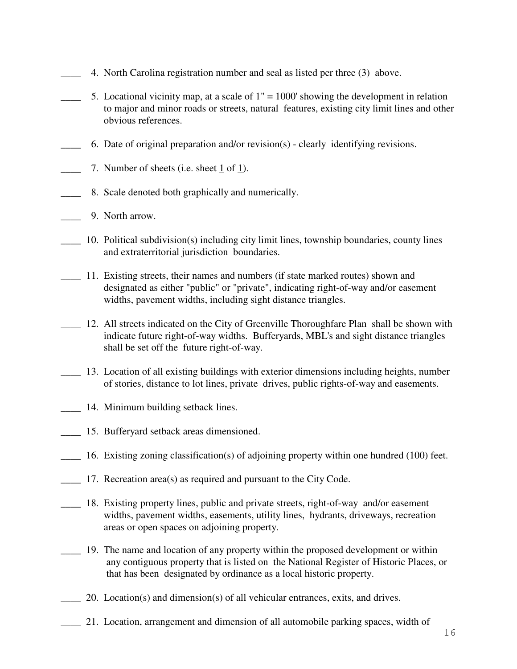- 4. North Carolina registration number and seal as listed per three (3) above.
- 5. Locational vicinity map, at a scale of  $1" = 1000'$  showing the development in relation to major and minor roads or streets, natural features, existing city limit lines and other obvious references.
- 6. Date of original preparation and/or revision(s) clearly identifying revisions.
- 7. Number of sheets (i.e. sheet 1 of 1).
- 8. Scale denoted both graphically and numerically.
- \_\_\_\_ 9. North arrow.
- \_\_\_\_ 10. Political subdivision(s) including city limit lines, township boundaries, county lines and extraterritorial jurisdiction boundaries.
- \_\_\_\_ 11. Existing streets, their names and numbers (if state marked routes) shown and designated as either "public" or "private", indicating right-of-way and/or easement widths, pavement widths, including sight distance triangles.
- \_\_\_\_ 12. All streets indicated on the City of Greenville Thoroughfare Plan shall be shown with indicate future right-of-way widths. Bufferyards, MBL's and sight distance triangles shall be set off the future right-of-way.
- \_\_\_\_ 13. Location of all existing buildings with exterior dimensions including heights, number of stories, distance to lot lines, private drives, public rights-of-way and easements.
- \_\_\_\_ 14. Minimum building setback lines.
- \_\_\_\_ 15. Bufferyard setback areas dimensioned.
- \_\_\_\_ 16. Existing zoning classification(s) of adjoining property within one hundred (100) feet.
- \_\_\_\_ 17. Recreation area(s) as required and pursuant to the City Code.
- \_\_\_\_ 18. Existing property lines, public and private streets, right-of-way and/or easement widths, pavement widths, easements, utility lines, hydrants, driveways, recreation areas or open spaces on adjoining property.
- \_\_\_\_ 19. The name and location of any property within the proposed development or within any contiguous property that is listed on the National Register of Historic Places, or that has been designated by ordinance as a local historic property.
- \_\_\_\_ 20. Location(s) and dimension(s) of all vehicular entrances, exits, and drives.
- 21. Location, arrangement and dimension of all automobile parking spaces, width of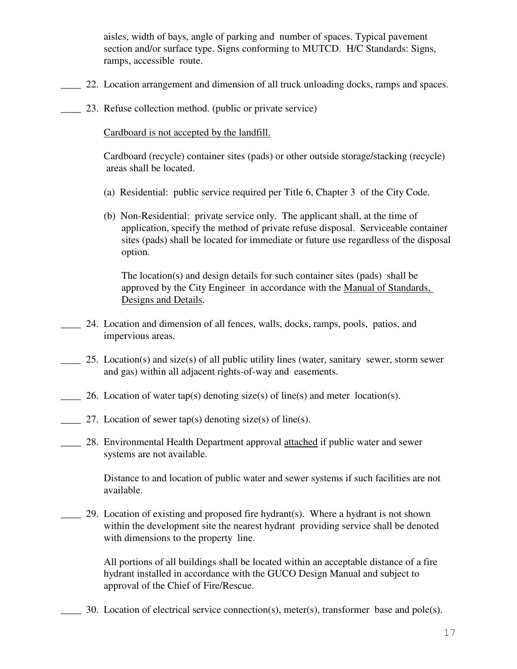aisles, width of bays, angle of parking and number of spaces. Typical pavement section and/or surface type. Signs conforming to MUTCD. H/C Standards: Signs, ramps, accessible route.

- 22. Location arrangement and dimension of all truck unloading docks, ramps and spaces.
	- 23. Refuse collection method. (public or private service)

Cardboard is not accepted by the landfill.

Cardboard (recycle) container sites (pads) or other outside storage/stacking (recycle) areas shall be located.

- (a) Residential: public service required per Title 6, Chapter 3 of the City Code.
- (b) Non-Residential: private service only. The applicant shall, at the time of application, specify the method of private refuse disposal. Serviceable container sites (pads) shall be located for immediate or future use regardless of the disposal option.

The location(s) and design details for such container sites (pads) shall be approved by the City Engineer in accordance with the Manual of Standards, Designs and Details.

- \_\_\_\_ 24. Location and dimension of all fences, walls, docks, ramps, pools, patios, and impervious areas.
- 25. Location(s) and size(s) of all public utility lines (water, sanitary sewer, storm sewer and gas) within all adjacent rights-of-way and easements.
- 26. Location of water tap(s) denoting size(s) of line(s) and meter location(s).
- 27. Location of sewer tap(s) denoting size(s) of line(s).
- 28. Environmental Health Department approval attached if public water and sewer systems are not available.

Distance to and location of public water and sewer systems if such facilities are not available.

\_\_\_\_ 29. Location of existing and proposed fire hydrant(s). Where a hydrant is not shown within the development site the nearest hydrant providing service shall be denoted with dimensions to the property line.

All portions of all buildings shall be located within an acceptable distance of a fire hydrant installed in accordance with the GUCO Design Manual and subject to approval of the Chief of Fire/Rescue.

30. Location of electrical service connection(s), meter(s), transformer base and pole(s).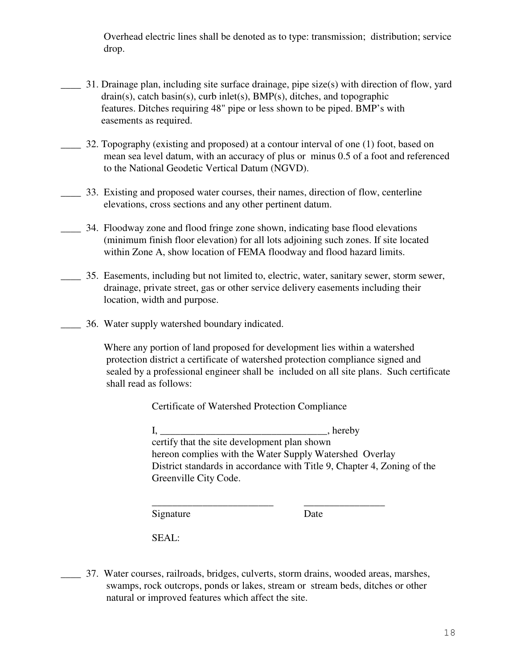Overhead electric lines shall be denoted as to type: transmission; distribution; service drop.

- \_\_\_\_ 31. Drainage plan, including site surface drainage, pipe size(s) with direction of flow, yard drain(s), catch basin(s), curb inlet(s), BMP(s), ditches, and topographic features. Ditches requiring 48" pipe or less shown to be piped. BMP's with easements as required.
- \_\_\_\_ 32. Topography (existing and proposed) at a contour interval of one (1) foot, based on mean sea level datum, with an accuracy of plus or minus 0.5 of a foot and referenced to the National Geodetic Vertical Datum (NGVD).
- \_\_\_\_ 33. Existing and proposed water courses, their names, direction of flow, centerline elevations, cross sections and any other pertinent datum.
- \_\_\_\_ 34. Floodway zone and flood fringe zone shown, indicating base flood elevations (minimum finish floor elevation) for all lots adjoining such zones. If site located within Zone A, show location of FEMA floodway and flood hazard limits.
- \_\_\_\_ 35. Easements, including but not limited to, electric, water, sanitary sewer, storm sewer, drainage, private street, gas or other service delivery easements including their location, width and purpose.
- \_\_\_\_ 36. Water supply watershed boundary indicated.

Where any portion of land proposed for development lies within a watershed protection district a certificate of watershed protection compliance signed and sealed by a professional engineer shall be included on all site plans. Such certificate shall read as follows:

Certificate of Watershed Protection Compliance

I, \_\_\_\_\_\_\_\_\_\_\_\_\_\_\_\_\_\_\_\_\_\_\_\_\_\_\_\_\_\_\_\_\_, hereby certify that the site development plan shown hereon complies with the Water Supply Watershed Overlay District standards in accordance with Title 9, Chapter 4, Zoning of the Greenville City Code.

\_\_\_\_\_\_\_\_\_\_\_\_\_\_\_\_\_\_\_\_\_\_\_\_ \_\_\_\_\_\_\_\_\_\_\_\_\_\_\_\_ Signature Date

SEAL:

\_\_\_\_ 37. Water courses, railroads, bridges, culverts, storm drains, wooded areas, marshes, swamps, rock outcrops, ponds or lakes, stream or stream beds, ditches or other natural or improved features which affect the site.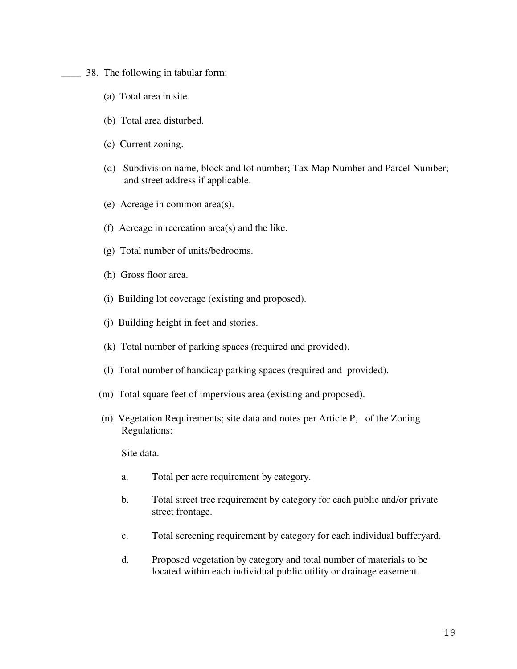\_\_\_\_ 38. The following in tabular form:

- (a) Total area in site.
- (b) Total area disturbed.
- (c) Current zoning.
- (d) Subdivision name, block and lot number; Tax Map Number and Parcel Number; and street address if applicable.
- (e) Acreage in common area(s).
- (f) Acreage in recreation area(s) and the like.
- (g) Total number of units/bedrooms.
- (h) Gross floor area.
- (i) Building lot coverage (existing and proposed).
- (j) Building height in feet and stories.
- (k) Total number of parking spaces (required and provided).
- (l) Total number of handicap parking spaces (required and provided).
- (m) Total square feet of impervious area (existing and proposed).
- (n) Vegetation Requirements; site data and notes per Article P, of the Zoning Regulations:

#### Site data.

- a. Total per acre requirement by category.
- b. Total street tree requirement by category for each public and/or private street frontage.
- c. Total screening requirement by category for each individual bufferyard.
- d. Proposed vegetation by category and total number of materials to be located within each individual public utility or drainage easement.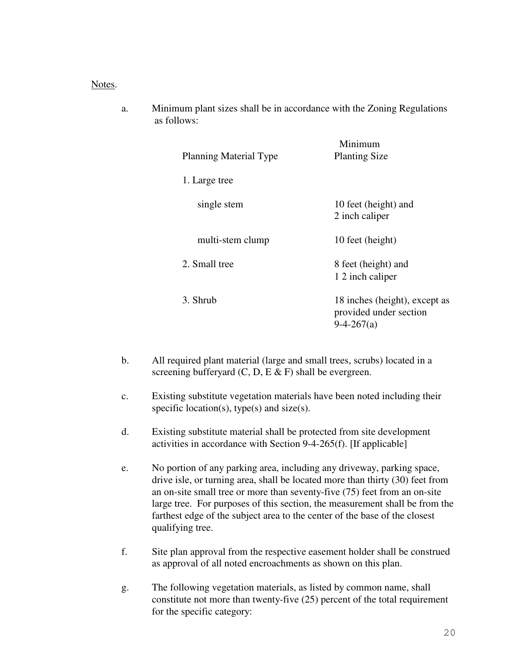#### Notes.

a. Minimum plant sizes shall be in accordance with the Zoning Regulations as follows:

| <b>Planning Material Type</b> | Minimum<br><b>Planting Size</b>                                         |  |
|-------------------------------|-------------------------------------------------------------------------|--|
| 1. Large tree                 |                                                                         |  |
| single stem                   | 10 feet (height) and<br>2 inch caliper                                  |  |
| multi-stem clump              | 10 feet (height)                                                        |  |
| 2. Small tree                 | 8 feet (height) and<br>1 2 inch caliper                                 |  |
| 3. Shrub                      | 18 inches (height), except as<br>provided under section<br>$9-4-267(a)$ |  |

- b. All required plant material (large and small trees, scrubs) located in a screening bufferyard  $(C, D, E \& F)$  shall be evergreen.
- c. Existing substitute vegetation materials have been noted including their specific location(s), type(s) and size(s).
- d. Existing substitute material shall be protected from site development activities in accordance with Section 9-4-265(f). [If applicable]
- e. No portion of any parking area, including any driveway, parking space, drive isle, or turning area, shall be located more than thirty (30) feet from an on-site small tree or more than seventy-five (75) feet from an on-site large tree. For purposes of this section, the measurement shall be from the farthest edge of the subject area to the center of the base of the closest qualifying tree.
- f. Site plan approval from the respective easement holder shall be construed as approval of all noted encroachments as shown on this plan.
- g. The following vegetation materials, as listed by common name, shall constitute not more than twenty-five (25) percent of the total requirement for the specific category: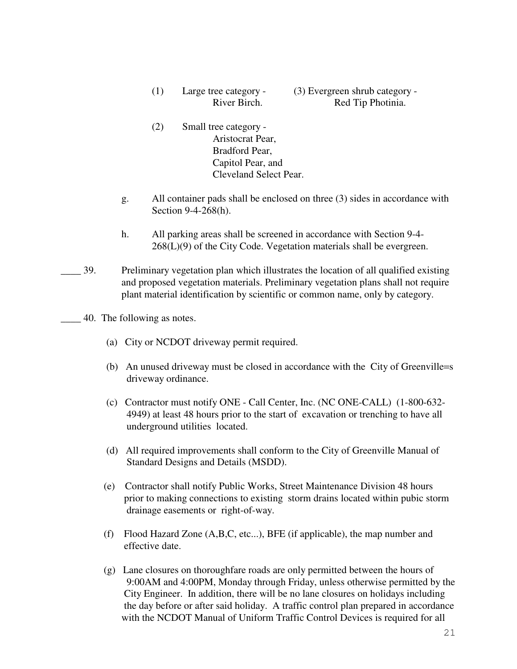- (1) Large tree category (3) Evergreen shrub category River Birch. Red Tip Photinia.
- (2) Small tree category Aristocrat Pear, Bradford Pear, Capitol Pear, and Cleveland Select Pear.
- g. All container pads shall be enclosed on three (3) sides in accordance with Section 9-4-268(h).
- h. All parking areas shall be screened in accordance with Section 9-4- 268(L)(9) of the City Code. Vegetation materials shall be evergreen.
- \_\_\_\_ 39. Preliminary vegetation plan which illustrates the location of all qualified existing and proposed vegetation materials. Preliminary vegetation plans shall not require plant material identification by scientific or common name, only by category.
	- \_\_\_\_ 40. The following as notes.
		- (a) City or NCDOT driveway permit required.
		- (b) An unused driveway must be closed in accordance with the City of Greenville=s driveway ordinance.
		- (c) Contractor must notify ONE Call Center, Inc. (NC ONE-CALL) (1-800-632- 4949) at least 48 hours prior to the start of excavation or trenching to have all underground utilities located.
		- (d) All required improvements shall conform to the City of Greenville Manual of Standard Designs and Details (MSDD).
		- (e) Contractor shall notify Public Works, Street Maintenance Division 48 hours prior to making connections to existing storm drains located within pubic storm drainage easements or right-of-way.
		- (f) Flood Hazard Zone (A,B,C, etc...), BFE (if applicable), the map number and effective date.
		- (g) Lane closures on thoroughfare roads are only permitted between the hours of 9:00AM and 4:00PM, Monday through Friday, unless otherwise permitted by the City Engineer. In addition, there will be no lane closures on holidays including the day before or after said holiday. A traffic control plan prepared in accordance with the NCDOT Manual of Uniform Traffic Control Devices is required for all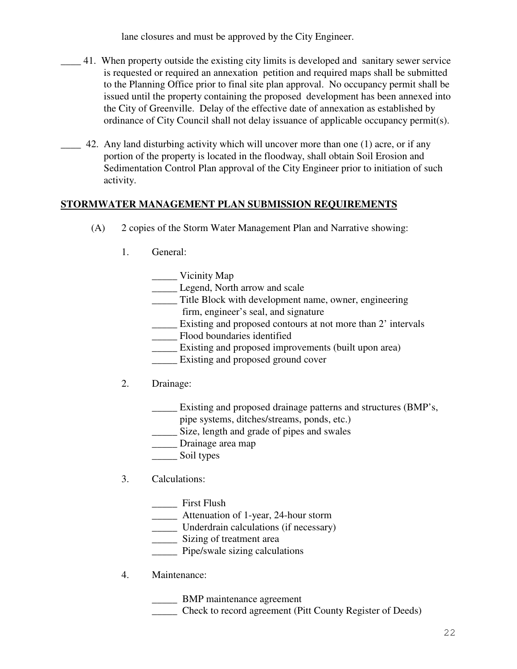lane closures and must be approved by the City Engineer.

- \_\_\_\_ 41. When property outside the existing city limits is developed and sanitary sewer service is requested or required an annexation petition and required maps shall be submitted to the Planning Office prior to final site plan approval. No occupancy permit shall be issued until the property containing the proposed development has been annexed into the City of Greenville. Delay of the effective date of annexation as established by ordinance of City Council shall not delay issuance of applicable occupancy permit(s).
- 42. Any land disturbing activity which will uncover more than one (1) acre, or if any portion of the property is located in the floodway, shall obtain Soil Erosion and Sedimentation Control Plan approval of the City Engineer prior to initiation of such activity.

## **STORMWATER MANAGEMENT PLAN SUBMISSION REQUIREMENTS**

- (A) 2 copies of the Storm Water Management Plan and Narrative showing:
	- 1. General:
		- \_\_\_\_\_ Vicinity Map
		- **Legend, North arrow and scale**
		- \_\_\_\_\_ Title Block with development name, owner, engineering firm, engineer's seal, and signature
		- \_\_\_\_\_ Existing and proposed contours at not more than 2' intervals
		- \_\_\_\_\_ Flood boundaries identified
		- \_\_\_\_\_ Existing and proposed improvements (built upon area)
		- \_\_\_\_\_ Existing and proposed ground cover
	- 2. Drainage:
		- \_\_\_\_\_ Existing and proposed drainage patterns and structures (BMP's,
			- pipe systems, ditches/streams, ponds, etc.)
		- \_\_\_\_\_ Size, length and grade of pipes and swales
		- \_\_\_\_\_ Drainage area map
		- \_\_\_\_\_ Soil types

# 3. Calculations:

- \_\_\_\_\_ First Flush
- \_\_\_\_\_ Attenuation of 1-year, 24-hour storm
- \_\_\_\_\_ Underdrain calculations (if necessary)
- \_\_\_\_\_ Sizing of treatment area
- \_\_\_\_\_ Pipe/swale sizing calculations
- 4. Maintenance:
	- \_\_\_\_\_ BMP maintenance agreement
	- \_\_\_\_\_ Check to record agreement (Pitt County Register of Deeds)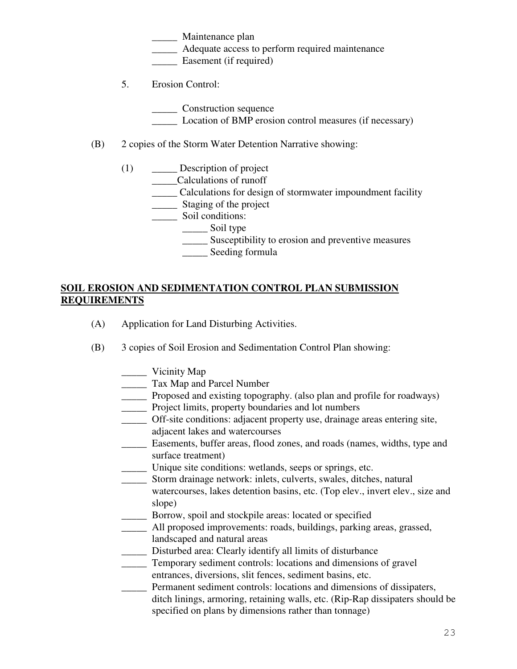\_\_\_\_\_ Maintenance plan

\_\_\_\_\_ Adequate access to perform required maintenance

Easement (if required)

5. Erosion Control:

\_\_\_\_\_ Construction sequence

- \_\_\_\_\_ Location of BMP erosion control measures (if necessary)
- (B) 2 copies of the Storm Water Detention Narrative showing:
	- (1) \_\_\_\_\_ Description of project
		- \_\_\_\_\_Calculations of runoff
			- \_\_\_\_\_ Calculations for design of stormwater impoundment facility
			- \_\_\_\_\_ Staging of the project
			- \_\_\_\_\_\_\_ Soil conditions:
				- \_\_\_\_\_\_\_\_ Soil type
					- \_\_\_\_\_ Susceptibility to erosion and preventive measures
					- \_\_\_\_\_ Seeding formula

# **SOIL EROSION AND SEDIMENTATION CONTROL PLAN SUBMISSION REQUIREMENTS**

- (A) Application for Land Disturbing Activities.
- (B) 3 copies of Soil Erosion and Sedimentation Control Plan showing:
	- \_\_\_\_\_ Vicinity Map
	- \_\_\_\_\_ Tax Map and Parcel Number
	- Proposed and existing topography. (also plan and profile for roadways)
	- \_\_\_\_\_ Project limits, property boundaries and lot numbers
	- \_\_\_\_\_ Off-site conditions: adjacent property use, drainage areas entering site,
	- adjacent lakes and watercourses
	- \_\_\_\_\_ Easements, buffer areas, flood zones, and roads (names, widths, type and surface treatment)
	- \_\_\_\_\_ Unique site conditions: wetlands, seeps or springs, etc.
	- \_\_\_\_\_ Storm drainage network: inlets, culverts, swales, ditches, natural
	- watercourses, lakes detention basins, etc. (Top elev., invert elev., size and slope)
	- \_\_\_\_\_ Borrow, spoil and stockpile areas: located or specified
	- \_\_\_\_\_ All proposed improvements: roads, buildings, parking areas, grassed, landscaped and natural areas
	- \_\_\_\_\_ Disturbed area: Clearly identify all limits of disturbance
	- \_\_\_\_\_ Temporary sediment controls: locations and dimensions of gravel entrances, diversions, slit fences, sediment basins, etc.
	- Permanent sediment controls: locations and dimensions of dissipaters, ditch linings, armoring, retaining walls, etc. (Rip-Rap dissipaters should be specified on plans by dimensions rather than tonnage)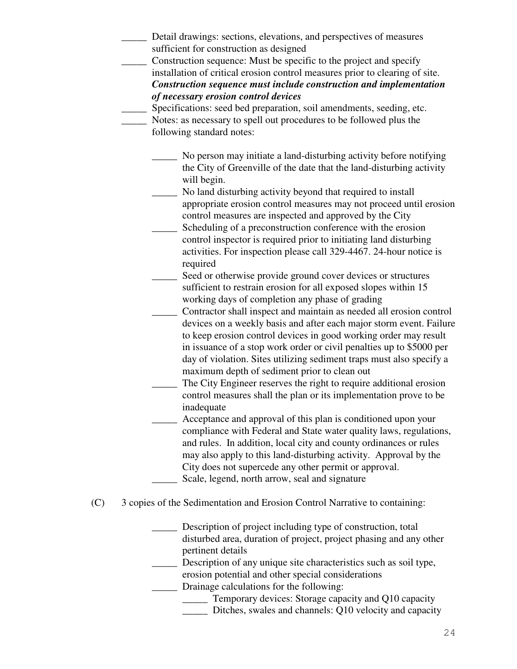Detail drawings: sections, elevations, and perspectives of measures sufficient for construction as designed \_\_\_\_\_ Construction sequence: Must be specific to the project and specify installation of critical erosion control measures prior to clearing of site. *Construction sequence must include construction and implementation of necessary erosion control devices* Specifications: seed bed preparation, soil amendments, seeding, etc. Notes: as necessary to spell out procedures to be followed plus the following standard notes: \_\_\_\_\_ No person may initiate a land-disturbing activity before notifying the City of Greenville of the date that the land-disturbing activity will begin. No land disturbing activity beyond that required to install appropriate erosion control measures may not proceed until erosion control measures are inspected and approved by the City Scheduling of a preconstruction conference with the erosion control inspector is required prior to initiating land disturbing activities. For inspection please call 329-4467. 24-hour notice is required Seed or otherwise provide ground cover devices or structures sufficient to restrain erosion for all exposed slopes within 15 working days of completion any phase of grading \_\_\_\_\_ Contractor shall inspect and maintain as needed all erosion control devices on a weekly basis and after each major storm event. Failure to keep erosion control devices in good working order may result in issuance of a stop work order or civil penalties up to \$5000 per day of violation. Sites utilizing sediment traps must also specify a maximum depth of sediment prior to clean out The City Engineer reserves the right to require additional erosion control measures shall the plan or its implementation prove to be inadequate Acceptance and approval of this plan is conditioned upon your compliance with Federal and State water quality laws, regulations, and rules. In addition, local city and county ordinances or rules may also apply to this land-disturbing activity. Approval by the City does not supercede any other permit or approval. Scale, legend, north arrow, seal and signature (C) 3 copies of the Sedimentation and Erosion Control Narrative to containing: Description of project including type of construction, total disturbed area, duration of project, project phasing and any other pertinent details \_\_\_\_\_ Description of any unique site characteristics such as soil type, erosion potential and other special considerations \_\_\_\_\_ Drainage calculations for the following: \_\_\_\_\_ Temporary devices: Storage capacity and Q10 capacity \_\_\_\_\_ Ditches, swales and channels: Q10 velocity and capacity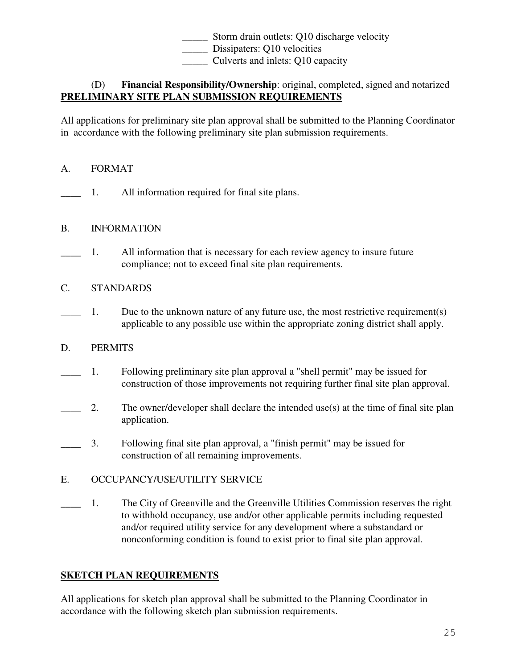Storm drain outlets: Q10 discharge velocity

\_\_\_\_\_ Dissipaters: Q10 velocities

\_\_\_\_\_ Culverts and inlets: Q10 capacity

# (D) **Financial Responsibility/Ownership**: original, completed, signed and notarized **PRELIMINARY SITE PLAN SUBMISSION REQUIREMENTS**

All applications for preliminary site plan approval shall be submitted to the Planning Coordinator in accordance with the following preliminary site plan submission requirements.

## A. FORMAT

\_\_\_\_ 1. All information required for final site plans.

## B. INFORMATION

- \_\_\_\_ 1. All information that is necessary for each review agency to insure future compliance; not to exceed final site plan requirements.
- C. STANDARDS
- 1. Due to the unknown nature of any future use, the most restrictive requirement(s) applicable to any possible use within the appropriate zoning district shall apply.

# D. PERMITS

- \_\_\_\_ 1. Following preliminary site plan approval a "shell permit" may be issued for construction of those improvements not requiring further final site plan approval.
- 2. The owner/developer shall declare the intended use(s) at the time of final site plan application.
- \_\_\_\_ 3. Following final site plan approval, a "finish permit" may be issued for construction of all remaining improvements.
- E. OCCUPANCY/USE/UTILITY SERVICE
- \_\_\_\_ 1. The City of Greenville and the Greenville Utilities Commission reserves the right to withhold occupancy, use and/or other applicable permits including requested and/or required utility service for any development where a substandard or nonconforming condition is found to exist prior to final site plan approval.

# **SKETCH PLAN REQUIREMENTS**

All applications for sketch plan approval shall be submitted to the Planning Coordinator in accordance with the following sketch plan submission requirements.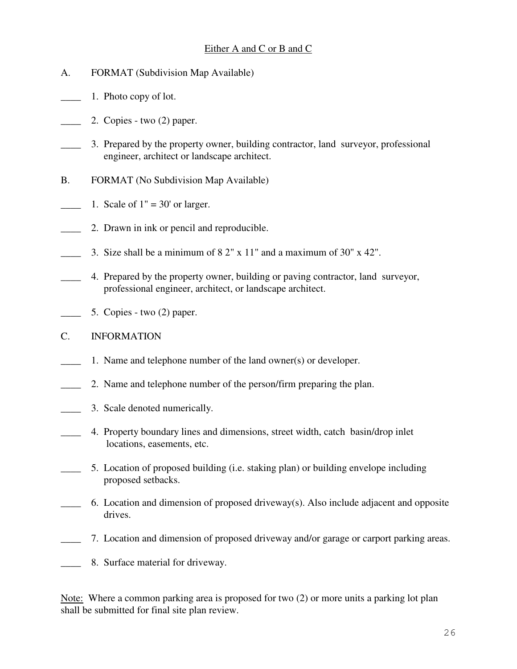## Either A and C or B and C

- A. FORMAT (Subdivision Map Available)
- 1. Photo copy of lot.
- $\frac{1}{2}$  2. Copies two (2) paper.
- 3. Prepared by the property owner, building contractor, land surveyor, professional engineer, architect or landscape architect.
- B. FORMAT (No Subdivision Map Available)
- 1. Scale of  $1" = 30'$  or larger.
- 2. Drawn in ink or pencil and reproducible.
- 3. Size shall be a minimum of  $8.2$ " x  $11$ " and a maximum of  $30$ " x  $42$ ".
- \_\_\_\_ 4. Prepared by the property owner, building or paving contractor, land surveyor, professional engineer, architect, or landscape architect.
- 5. Copies two (2) paper.
- C. INFORMATION
- \_\_\_\_ 1. Name and telephone number of the land owner(s) or developer.
- \_\_\_\_ 2. Name and telephone number of the person/firm preparing the plan.
- **EXECUTE:** 3. Scale denoted numerically.
- 4. Property boundary lines and dimensions, street width, catch basin/drop inlet locations, easements, etc.
- 5. Location of proposed building (i.e. staking plan) or building envelope including proposed setbacks.
- \_\_\_\_ 6. Location and dimension of proposed driveway(s). Also include adjacent and opposite drives.
- \_\_\_\_ 7. Location and dimension of proposed driveway and/or garage or carport parking areas.
- \_\_\_\_ 8. Surface material for driveway.

Note: Where a common parking area is proposed for two (2) or more units a parking lot plan shall be submitted for final site plan review.